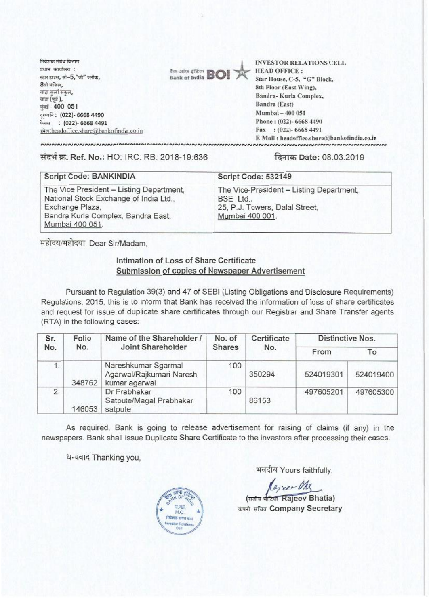निवेशक संबंध विभाग प्रधान कार्यालय : स्टार डाउस, सी-5, "जी" ब्लॉक, 8ंबी मंजिल. बांद्रा कर्ला संकल, बांद्रा (पूर्व ), मंबई - 400 051 दर्श्वानि: (022)- 6668 4490 फेक्स: (022)- 6668 4491 इमेल: headoffice.share@bankofindia.co.in



**INVESTOR RELATIONS CELL HEAD OFFICE:** Star House, C-5, "G" Block, 8th Floor (East Wing), Bandra-Kurla Complex. Bandra (East) Mumbai - 400 051 Phone: (022)-6668 4490 Fax: (022)-6668 4491 E-Mail: headoffice.share@bankofindia.co.in 

संदर्भ क्र. Ref. No.: HO: IRC: RB: 2018-19:636

## दिनांक Date: 08.03.2019

| <b>Script Code: BANKINDIA</b>                                                                                                                                  | Script Code: 532149                                                                                        |  |  |
|----------------------------------------------------------------------------------------------------------------------------------------------------------------|------------------------------------------------------------------------------------------------------------|--|--|
| The Vice President - Listing Department,<br>National Stock Exchange of India Ltd.,<br>Exchange Plaza,<br>Bandra Kurla Complex, Bandra East,<br>Mumbai 400 051. | The Vice-President - Listing Department,<br>BSE Ltd.,<br>25, P.J. Towers, Dalal Street,<br>Mumbai 400 001. |  |  |

महोदय/महोदया Dear Sir/Madam.

## Intimation of Loss of Share Certificate Submission of copies of Newspaper Advertisement

Pursuant to Regulation 39(3) and 47 of SEBI (Listing Obligations and Disclosure Requirements) Regulations, 2015, this is to inform that Bank has received the information of loss of share certificates and request for issue of duplicate share certificates through our Registrar and Share Transfer agents (RTA) in the following cases:

| Sr.<br>No. | Folio<br>No. | Name of the Shareholder /<br>Joint Shareholder                   | No. of<br><b>Shares</b> | Certificate<br>No. | <b>Distinctive Nos.</b> |           |
|------------|--------------|------------------------------------------------------------------|-------------------------|--------------------|-------------------------|-----------|
|            |              |                                                                  |                         |                    | From                    | To        |
| 1.         | 348762       | Nareshkumar Sgarmal<br>Agarwal/Rajkumari Naresh<br>kumar agarwal | 100                     | 350294             | 524019301               | 524019400 |
| 2.         | 146053       | Dr Prabhakar<br>Satpute/Magal Prabhakar<br>satpute               | 100                     | 86153              | 497605201               | 497605300 |

As required, Bank is going to release advertisement for raising of claims (if any) in the newspapers. Bank shall issue Duplicate Share Certificate to the investors after processing their cases.

धन्यवाद Thanking you,



भवदीय Yours faithfully,

(राजीव भांटिया Rajeev Bhatia) कंपनी सचिव Company Secretary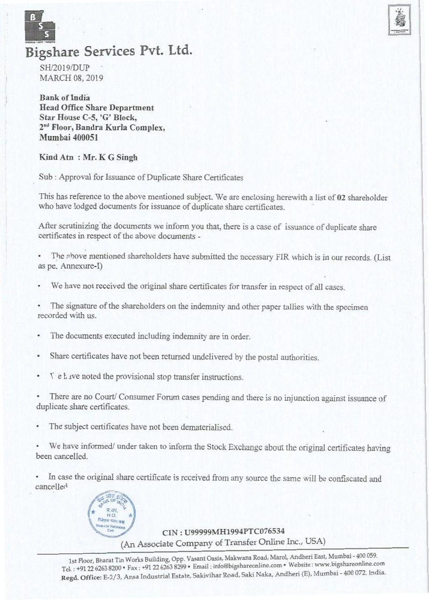



## **Bigshare Services** Pvt. Ltd.

SH/2019/DUP MARCH 08, 2019

Bank of India Head Office Share Department Star House C-5, 'G' Block, 2<sup>nd</sup> Floor, Bandra Kurla Complex, Mumbai 400051

Kind Atn : Mr. K G Singh

Sub : Approval for Issuance of Duplicate Share Certificates

This has reference to the above mentioned subject. We are enclosing herewith a list of 02 shareholder who have lodged documents for issuance of duplicate share certificates.

After scrutinizing'the documents we inform you that, there is a case of issuance of duplicate share certificates in respect of the above documents -

The above mentioned shareholders have submitted the necessary FIR which is in our records. (List as pe. Annexure-D

We have not received the original share certificates for transfer in respect of all cases.

The signature of the shareholders on the indemnity and other paper tallies with the specimen recorded with us.

- The documents executed including indemnity are in order.
- Share certificates have not been returned undelivered by the postal authorities. .
- $\top$  e have noted the provisional stop transfer instructions.

• There are no Court/ Consumer Forum cases pending and there is no injunction against issuance of duplicate share certificates.

The subject certificates have not been dematerialised.

We have informed/ under taken to inform the Stock Exchange about the original certificates having been cancelled.

In case the original share certificate is received from any source the same will be confiscated and cancelled



CIN : **U99999MH1994PTC076534**  (An Associate Company of Transfer Online Inc., USA)

1st Floor, Bharat Tin Works Building, Opp. Vasant Oasis, Makwana Road, Marol, Andheri East, Mumbai 400 059. Tel. : +91 22 6263 8200 • Fax : +91 22 6263 8299 • Email : infabigshareonline.com• Website : www.bigshareonline.com . Regd. Office: E-2/3, Ansa Industrial Estate, Sakivihar Road, Saki Naka, Andheri (E), Mumbai - 400 072. India.